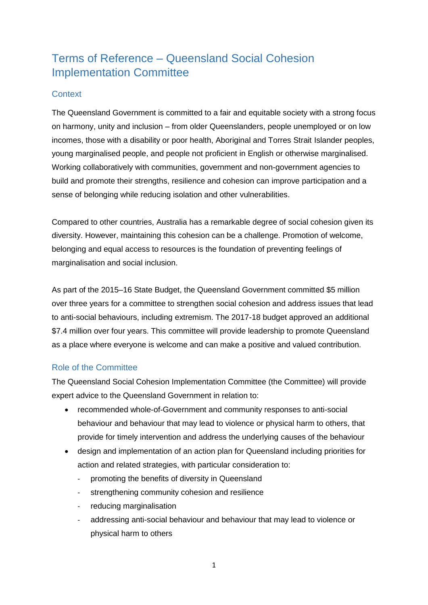# Terms of Reference – Queensland Social Cohesion Implementation Committee

## **Context**

The Queensland Government is committed to a fair and equitable society with a strong focus on harmony, unity and inclusion – from older Queenslanders, people unemployed or on low incomes, those with a disability or poor health, Aboriginal and Torres Strait Islander peoples, young marginalised people, and people not proficient in English or otherwise marginalised. Working collaboratively with communities, government and non-government agencies to build and promote their strengths, resilience and cohesion can improve participation and a sense of belonging while reducing isolation and other vulnerabilities.

Compared to other countries, Australia has a remarkable degree of social cohesion given its diversity. However, maintaining this cohesion can be a challenge. Promotion of welcome, belonging and equal access to resources is the foundation of preventing feelings of marginalisation and social inclusion.

As part of the 2015–16 State Budget, the Queensland Government committed \$5 million over three years for a committee to strengthen social cohesion and address issues that lead to anti-social behaviours, including extremism. The 2017-18 budget approved an additional \$7.4 million over four years. This committee will provide leadership to promote Queensland as a place where everyone is welcome and can make a positive and valued contribution.

# Role of the Committee

The Queensland Social Cohesion Implementation Committee (the Committee) will provide expert advice to the Queensland Government in relation to:

- recommended whole-of-Government and community responses to anti-social behaviour and behaviour that may lead to violence or physical harm to others, that provide for timely intervention and address the underlying causes of the behaviour
- design and implementation of an action plan for Queensland including priorities for action and related strategies, with particular consideration to:
	- promoting the benefits of diversity in Queensland
	- strengthening community cohesion and resilience
	- reducing marginalisation
	- addressing anti-social behaviour and behaviour that may lead to violence or physical harm to others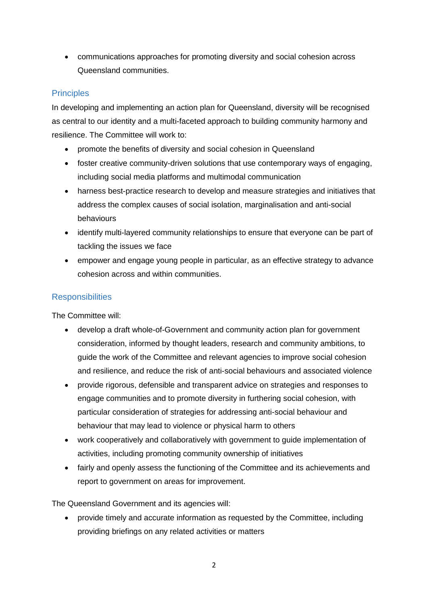communications approaches for promoting diversity and social cohesion across Queensland communities.

# **Principles**

In developing and implementing an action plan for Queensland, diversity will be recognised as central to our identity and a multi-faceted approach to building community harmony and resilience. The Committee will work to:

- promote the benefits of diversity and social cohesion in Queensland
- foster creative community-driven solutions that use contemporary ways of engaging, including social media platforms and multimodal communication
- harness best-practice research to develop and measure strategies and initiatives that address the complex causes of social isolation, marginalisation and anti-social behaviours
- identify multi-layered community relationships to ensure that everyone can be part of tackling the issues we face
- empower and engage young people in particular, as an effective strategy to advance cohesion across and within communities.

## **Responsibilities**

The Committee will:

- develop a draft whole-of-Government and community action plan for government consideration, informed by thought leaders, research and community ambitions, to guide the work of the Committee and relevant agencies to improve social cohesion and resilience, and reduce the risk of anti-social behaviours and associated violence
- provide rigorous, defensible and transparent advice on strategies and responses to engage communities and to promote diversity in furthering social cohesion, with particular consideration of strategies for addressing anti-social behaviour and behaviour that may lead to violence or physical harm to others
- work cooperatively and collaboratively with government to guide implementation of activities, including promoting community ownership of initiatives
- fairly and openly assess the functioning of the Committee and its achievements and report to government on areas for improvement.

The Queensland Government and its agencies will:

 provide timely and accurate information as requested by the Committee, including providing briefings on any related activities or matters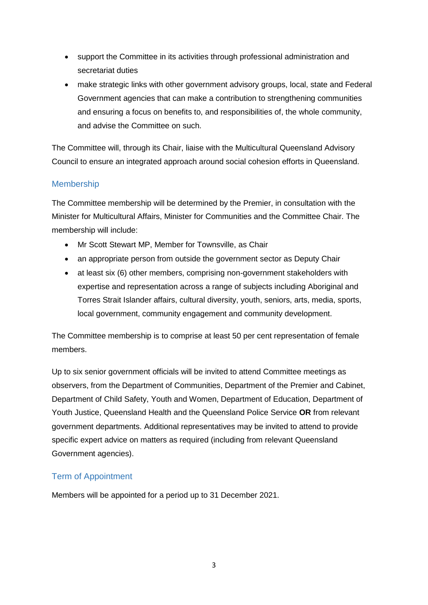- support the Committee in its activities through professional administration and secretariat duties
- make strategic links with other government advisory groups, local, state and Federal Government agencies that can make a contribution to strengthening communities and ensuring a focus on benefits to, and responsibilities of, the whole community, and advise the Committee on such.

The Committee will, through its Chair, liaise with the Multicultural Queensland Advisory Council to ensure an integrated approach around social cohesion efforts in Queensland.

# Membership

The Committee membership will be determined by the Premier, in consultation with the Minister for Multicultural Affairs, Minister for Communities and the Committee Chair. The membership will include:

- Mr Scott Stewart MP, Member for Townsville, as Chair
- an appropriate person from outside the government sector as Deputy Chair
- at least six (6) other members, comprising non-government stakeholders with expertise and representation across a range of subjects including Aboriginal and Torres Strait Islander affairs, cultural diversity, youth, seniors, arts, media, sports, local government, community engagement and community development.

The Committee membership is to comprise at least 50 per cent representation of female members.

Up to six senior government officials will be invited to attend Committee meetings as observers, from the Department of Communities, Department of the Premier and Cabinet, Department of Child Safety, Youth and Women, Department of Education, Department of Youth Justice, Queensland Health and the Queensland Police Service **OR** from relevant government departments. Additional representatives may be invited to attend to provide specific expert advice on matters as required (including from relevant Queensland Government agencies).

# Term of Appointment

Members will be appointed for a period up to 31 December 2021.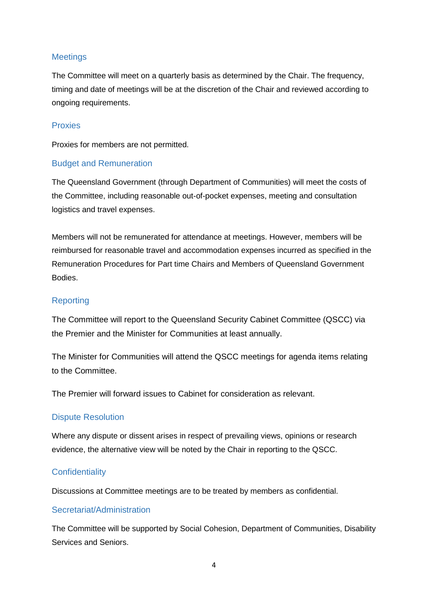## **Meetings**

The Committee will meet on a quarterly basis as determined by the Chair. The frequency, timing and date of meetings will be at the discretion of the Chair and reviewed according to ongoing requirements.

#### Proxies

Proxies for members are not permitted.

#### Budget and Remuneration

The Queensland Government (through Department of Communities) will meet the costs of the Committee, including reasonable out-of-pocket expenses, meeting and consultation logistics and travel expenses.

Members will not be remunerated for attendance at meetings. However, members will be reimbursed for reasonable travel and accommodation expenses incurred as specified in the Remuneration Procedures for Part time Chairs and Members of Queensland Government Bodies.

#### Reporting

The Committee will report to the Queensland Security Cabinet Committee (QSCC) via the Premier and the Minister for Communities at least annually.

The Minister for Communities will attend the QSCC meetings for agenda items relating to the Committee.

The Premier will forward issues to Cabinet for consideration as relevant.

#### Dispute Resolution

Where any dispute or dissent arises in respect of prevailing views, opinions or research evidence, the alternative view will be noted by the Chair in reporting to the QSCC.

#### **Confidentiality**

Discussions at Committee meetings are to be treated by members as confidential.

#### Secretariat/Administration

The Committee will be supported by Social Cohesion, Department of Communities, Disability Services and Seniors.